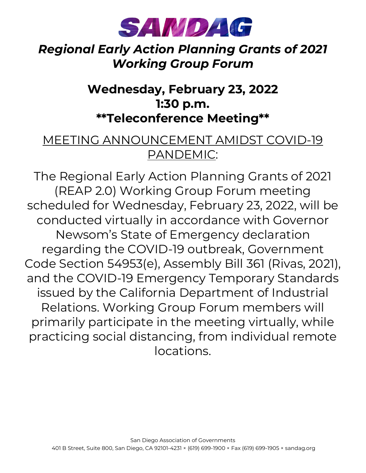

#### *Regional Early Action Planning Grants of 2021 Working Group Forum*

### **Wednesday, February 23, 2022 1:30 p.m. \*\*Teleconference Meeting\*\***

#### MEETING ANNOUNCEMENT AMIDST COVID-19 PANDEMIC:

The Regional Early Action Planning Grants of 2021 (REAP 2.0) Working Group Forum meeting scheduled for Wednesday, February 23, 2022, will be conducted virtually in accordance with Governor Newsom's State of Emergency declaration regarding the COVID-19 outbreak, Government Code Section 54953(e), Assembly Bill 361 (Rivas, 2021), and the COVID-19 Emergency Temporary Standards issued by the California Department of Industrial Relations. Working Group Forum members will primarily participate in the meeting virtually, while practicing social distancing, from individual remote locations.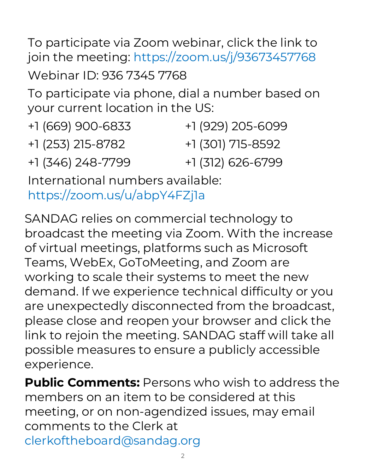To participate via Zoom webinar, click the link to join the meeting: [https://zoom.us/j/93673457768](https://gcc02.safelinks.protection.outlook.com/?url=https%3A%2F%2Fzoom.us%2Fj%2F93673457768&data=04%7C01%7Ceditorial%40sandag.org%7C5d84bb7d89a543395ec808d9e821eead%7C2bbb5689d9d5406b8d02cf1002b473e7%7C0%7C0%7C637796054692444432%7CUnknown%7CTWFpbGZsb3d8eyJWIjoiMC4wLjAwMDAiLCJQIjoiV2luMzIiLCJBTiI6Ik1haWwiLCJXVCI6Mn0%3D%7C3000&sdata=6PeJGdgGgEqMew5U4roKF4tt95WW%2BdJJ8lNvpWcXgoE%3D&reserved=0) Webinar ID: 936 7345 7768

To participate via phone, dial a number based on your current location in the US:

| +1 (669) 900-6833 | +1 (929) 205-6099 |
|-------------------|-------------------|
| +1 (253) 215-8782 | +1 (301) 715-8592 |
| +1 (346) 248-7799 | +1 (312) 626-6799 |

International numbers available: [https://zoom.us/u/abpY4FZj1a](https://gcc02.safelinks.protection.outlook.com/?url=https%3A%2F%2Fzoom.us%2Fu%2FabpY4FZj1a&data=04%7C01%7Ceditorial%40sandag.org%7C5d84bb7d89a543395ec808d9e821eead%7C2bbb5689d9d5406b8d02cf1002b473e7%7C0%7C0%7C637796054692444432%7CUnknown%7CTWFpbGZsb3d8eyJWIjoiMC4wLjAwMDAiLCJQIjoiV2luMzIiLCJBTiI6Ik1haWwiLCJXVCI6Mn0%3D%7C3000&sdata=54%2FpdJ5ZJ0M00iFvUvjjTiyxKCXN%2FYYcBvrnYGoIUKs%3D&reserved=0)

SANDAG relies on commercial technology to broadcast the meeting via Zoom. With the increase of virtual meetings, platforms such as Microsoft Teams, WebEx, GoToMeeting, and Zoom are working to scale their systems to meet the new demand. If we experience technical difficulty or you are unexpectedly disconnected from the broadcast, please close and reopen your browser and click the link to rejoin the meeting. SANDAG staff will take all possible measures to ensure a publicly accessible experience.

**Public Comments:** Persons who wish to address the members on an item to be considered at this meeting, or on non-agendized issues, may email comments to the Clerk at [clerkoftheboard@sandag.org](mailto:clerkoftheboard@sandag.org)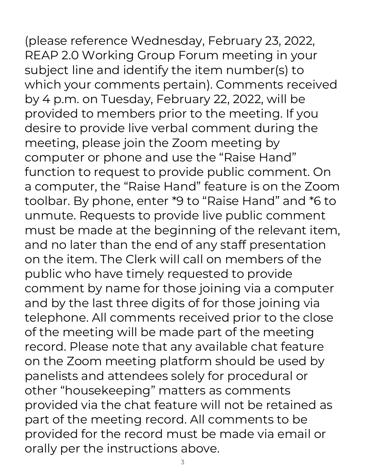(please reference Wednesday, February 23, 2022, REAP 2.0 Working Group Forum meeting in your subject line and identify the item number(s) to which your comments pertain). Comments received by 4 p.m. on Tuesday, February 22, 2022, will be provided to members prior to the meeting. If you desire to provide live verbal comment during the meeting, please join the Zoom meeting by computer or phone and use the "Raise Hand" function to request to provide public comment. On a computer, the "Raise Hand" feature is on the Zoom toolbar. By phone, enter \*9 to "Raise Hand" and \*6 to unmute. Requests to provide live public comment must be made at the beginning of the relevant item, and no later than the end of any staff presentation on the item. The Clerk will call on members of the public who have timely requested to provide comment by name for those joining via a computer and by the last three digits of for those joining via telephone. All comments received prior to the close of the meeting will be made part of the meeting record. Please note that any available chat feature on the Zoom meeting platform should be used by panelists and attendees solely for procedural or other "housekeeping" matters as comments provided via the chat feature will not be retained as part of the meeting record. All comments to be provided for the record must be made via email or orally per the instructions above.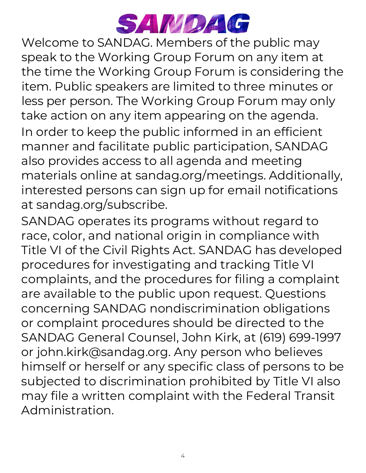

Welcome to SANDAG. Members of the public may speak to the Working Group Forum on any item at the time the Working Group Forum is considering the item. Public speakers are limited to three minutes or less per person. The Working Group Forum may only take action on any item appearing on the agenda. In order to keep the public informed in an efficient manner and facilitate public participation, SANDAG also provides access to all agenda and meeting materials online at sandag.org/meetings. Additionally, interested persons can sign up for email notifications at sandag.org/subscribe.

SANDAG operates its programs without regard to race, color, and national origin in compliance with Title VI of the Civil Rights Act. SANDAG has developed procedures for investigating and tracking Title VI complaints, and the procedures for filing a complaint are available to the public upon request. Questions concerning SANDAG nondiscrimination obligations or complaint procedures should be directed to the SANDAG General Counsel, John Kirk, at (619) 699-1997 or john.kirk@sandag.org. Any person who believes himself or herself or any specific class of persons to be subjected to discrimination prohibited by Title VI also may file a written complaint with the Federal Transit Administration.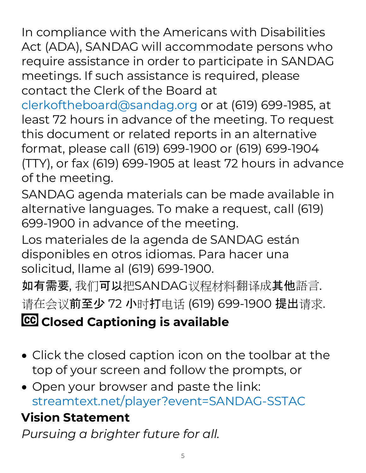In compliance with the Americans with Disabilities Act (ADA), SANDAG will accommodate persons who require assistance in order to participate in SANDAG meetings. If such assistance is required, please contact the Clerk of the Board at

[clerkoftheboard@sandag.org](mailto:clerkoftheboard@sandag.org) or at (619) 699-1985, at least 72 hours in advance of the meeting. To request this document or related reports in an alternative format, please call (619) 699-1900 or (619) 699-1904 (TTY), or fax (619) 699-1905 at least 72 hours in advance of the meeting.

SANDAG agenda materials can be made available in alternative languages. To make a request, call (619) 699-1900 in advance of the meeting.

Los materiales de la agenda de SANDAG están disponibles en otros idiomas. Para hacer una solicitud, llame al (619) 699-1900.

如有需要, 我们可以把SANDAG议程材料翻译成其他語言. 请在会议前至少 72 小时打电话 (619) 699-1900 提出请求.

# **CC** Closed Captioning is available

- Click the closed caption icon on the toolbar at the top of your screen and follow the prompts, or
- Open your browser and paste the link: [streamtext.net/player?event=SANDAG-SSTAC](https://www.streamtext.net/player?event=SANDAG-SSTAC)

## **Vision Statement**

*Pursuing a brighter future for all.*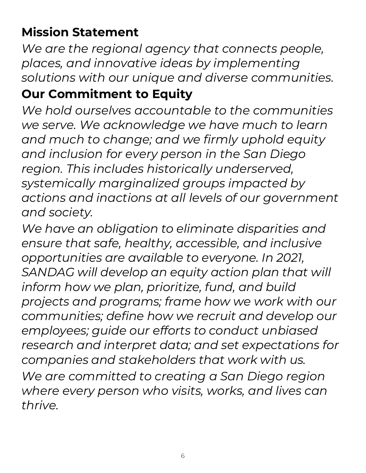## **Mission Statement**

*We are the regional agency that connects people, places, and innovative ideas by implementing solutions with our unique and diverse communities.*

#### **Our Commitment to Equity**

*We hold ourselves accountable to the communities we serve. We acknowledge we have much to learn and much to change; and we firmly uphold equity and inclusion for every person in the San Diego region. This includes historically underserved, systemically marginalized groups impacted by actions and inactions at all levels of our government and society.*

*We have an obligation to eliminate disparities and ensure that safe, healthy, accessible, and inclusive opportunities are available to everyone. In 2021, SANDAG will develop an equity action plan that will inform how we plan, prioritize, fund, and build projects and programs; frame how we work with our communities; define how we recruit and develop our employees; guide our efforts to conduct unbiased research and interpret data; and set expectations for companies and stakeholders that work with us. We are committed to creating a San Diego region where every person who visits, works, and lives can thrive.*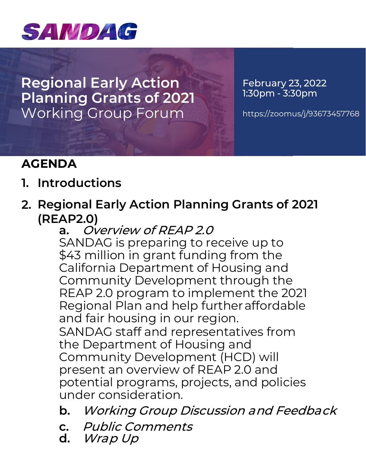

**Regional Early Action Planning Grants of 2021** Working Group Forum

February 23, 2022 1:30pm - 3:30pm

<https://zoomus/j/93673457768>

#### **AGENDA**

- **1. Introductions**
- **2. Regional Early Action Planning Grants of 2021 (REAP2.0)**
	- **a.** Overview of REAP 2.0 SANDAG is preparing to receive up to \$43 million in grant funding from the California Department of Housing and Community Development through the REAP 2.0 program to implement the 2021 Regional Plan and help furtheraffordable and fair housing in our region. SANDAG staff and representatives from the Department of Housing and Community Development (HCD) will present an overview of REAP 2.0 and potential programs, projects, and policies under consideration.
	- **b.** Working Group Discussion and Feedback
	- **c.** Public Comments
	- **d.** Wrap Up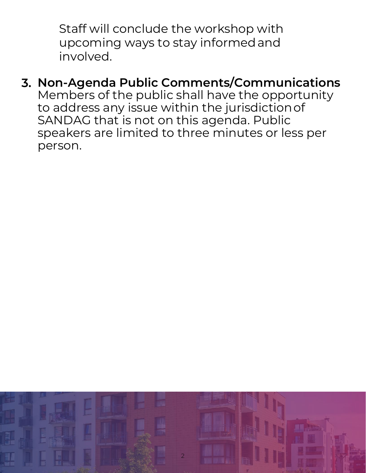Staff will conclude the workshop with upcoming ways to stay informedand involved.

## **3. Non-Agenda Public Comments/Communications**

Members of the public shall have the opportunity to address any issue within the jurisdictionof SANDAG that is not on this agenda. Public speakers are limited to three minutes or less per person.

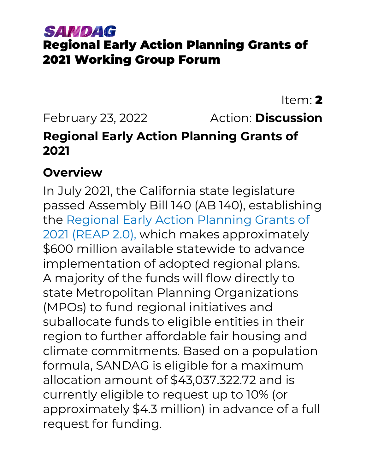### SAMDAG Regional Early Action Planning Grants of 2021 Working Group Forum

Item: 2 February 23, 2022 Action: **Discussion Regional Early Action Planning Grants of 2021**

#### **Overview**

In July 2021, the California state legislature passed Assembly Bill 140 (AB 140), establishing the [Regional Early Action Planning Grants of](https://hcd.ca.gov/grants-funding/active-funding/reap2.shtml)  [2021 \(REAP 2.0\),](https://hcd.ca.gov/grants-funding/active-funding/reap2.shtml) which makes approximately \$600 million available statewide to advance implementation of adopted regional plans. A majority of the funds will flow directly to state Metropolitan Planning Organizations (MPOs) to fund regional initiatives and suballocate funds to eligible entities in their region to further affordable fair housing and climate commitments. Based on a population formula, SANDAG is eligible for a maximum allocation amount of \$43,037.322.72 and is currently eligible to request up to 10% (or approximately \$4.3 million) in advance of a full request for funding.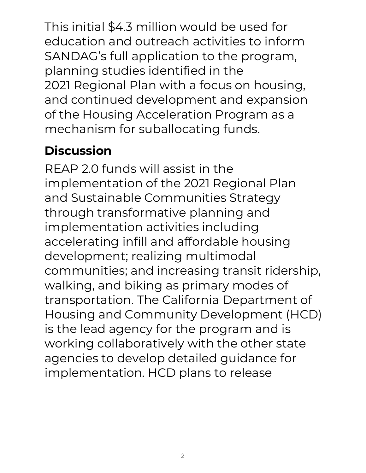This initial \$4.3 million would be used for education and outreach activities to inform SANDAG's full application to the program, planning studies identified in the 2021 Regional Plan with a focus on housing, and continued development and expansion of the Housing Acceleration Program as a mechanism for suballocating funds.

## **Discussion**

REAP 2.0 funds will assist in the implementation of the 2021 Regional Plan and Sustainable Communities Strategy through transformative planning and implementation activities including accelerating infill and affordable housing development; realizing multimodal communities; and increasing transit ridership, walking, and biking as primary modes of transportation. The California Department of Housing and Community Development (HCD) is the lead agency for the program and is working collaboratively with the other state agencies to develop detailed guidance for implementation. HCD plans to release